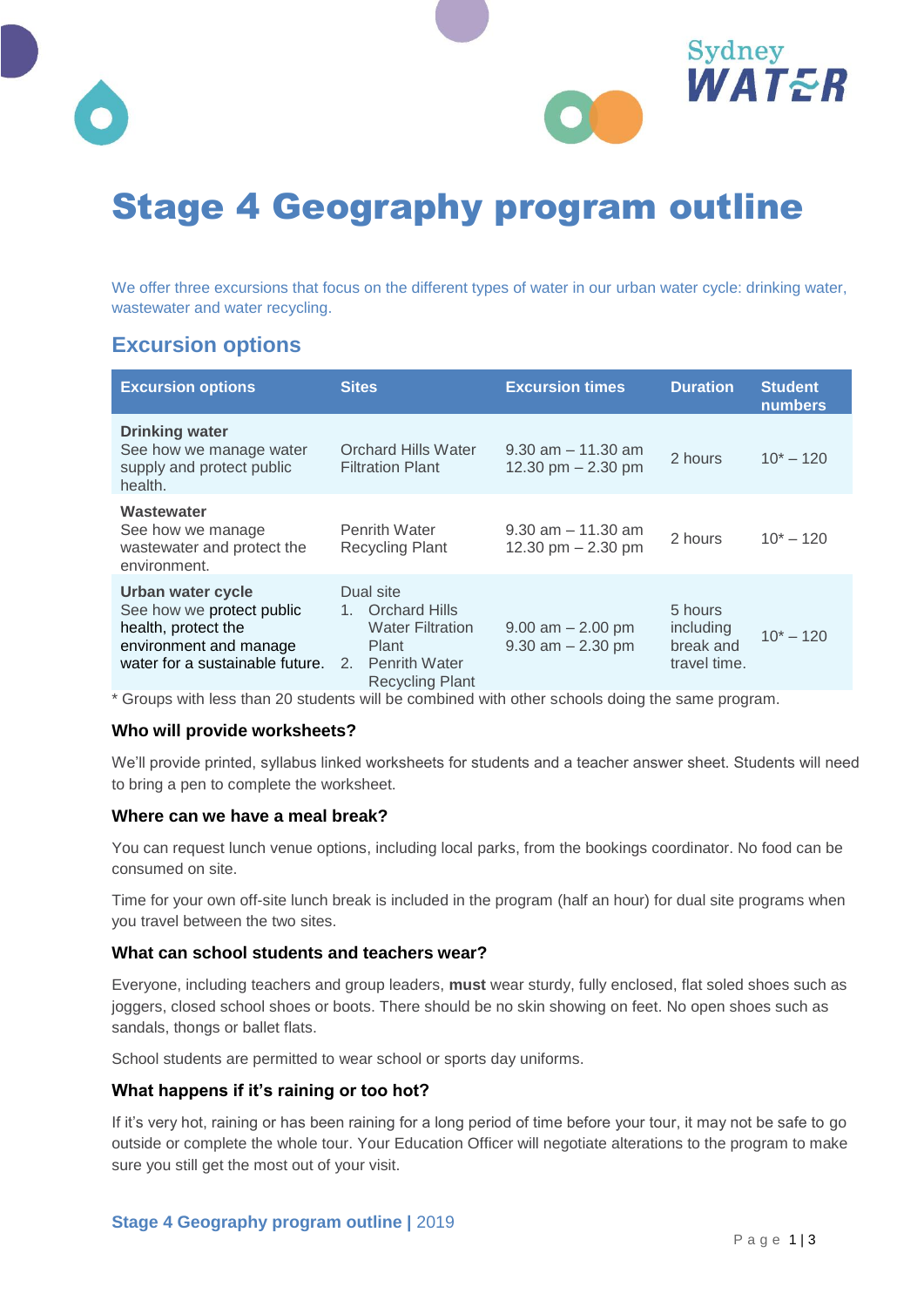



We offer three excursions that focus on the different types of water in our urban water cycle: drinking water, wastewater and water recycling.

## **Excursion options**

| <b>Excursion options</b>                                                                                                                            | <b>Sites</b>                                                                                                      | <b>Excursion times</b>                         | <b>Duration</b>                                   | <b>Student</b><br><b>numbers</b> |
|-----------------------------------------------------------------------------------------------------------------------------------------------------|-------------------------------------------------------------------------------------------------------------------|------------------------------------------------|---------------------------------------------------|----------------------------------|
| <b>Drinking water</b><br>See how we manage water<br>supply and protect public<br>health.                                                            | <b>Orchard Hills Water</b><br><b>Filtration Plant</b>                                                             | $9.30$ am $-11.30$ am<br>12.30 pm $- 2.30$ pm  | 2 hours                                           | $10^* - 120$                     |
| Wastewater<br>See how we manage<br>wastewater and protect the<br>environment.                                                                       | <b>Penrith Water</b><br><b>Recycling Plant</b>                                                                    | $9.30$ am $-11.30$ am<br>12.30 pm $- 2.30$ pm  | 2 hours                                           | $10^* - 120$                     |
| Urban water cycle<br>See how we protect public<br>health, protect the<br>environment and manage<br>water for a sustainable future. 2. Penrith Water | Dual site<br><b>Orchard Hills</b><br>$1_{-}$<br><b>Water Filtration</b><br><b>Plant</b><br><b>Recycling Plant</b> | $9.00$ am $- 2.00$ pm<br>$9.30$ am $- 2.30$ pm | 5 hours<br>including<br>break and<br>travel time. | $10^* - 120$                     |

\* Groups with less than 20 students will be combined with other schools doing the same program.

#### **Who will provide worksheets?**

We'll provide printed, syllabus linked worksheets for students and a teacher answer sheet. Students will need to bring a pen to complete the worksheet.

#### **Where can we have a meal break?**

You can request lunch venue options, including local parks, from the bookings coordinator. No food can be consumed on site.

Time for your own off-site lunch break is included in the program (half an hour) for dual site programs when you travel between the two sites.

#### **What can school students and teachers wear?**

Everyone, including teachers and group leaders, **must** wear sturdy, fully enclosed, flat soled shoes such as joggers, closed school shoes or boots. There should be no skin showing on feet. No open shoes such as sandals, thongs or ballet flats.

School students are permitted to wear school or sports day uniforms.

#### **What happens if it's raining or too hot?**

If it's very hot, raining or has been raining for a long period of time before your tour, it may not be safe to go outside or complete the whole tour. Your Education Officer will negotiate alterations to the program to make sure you still get the most out of your visit.

Sydney

WATER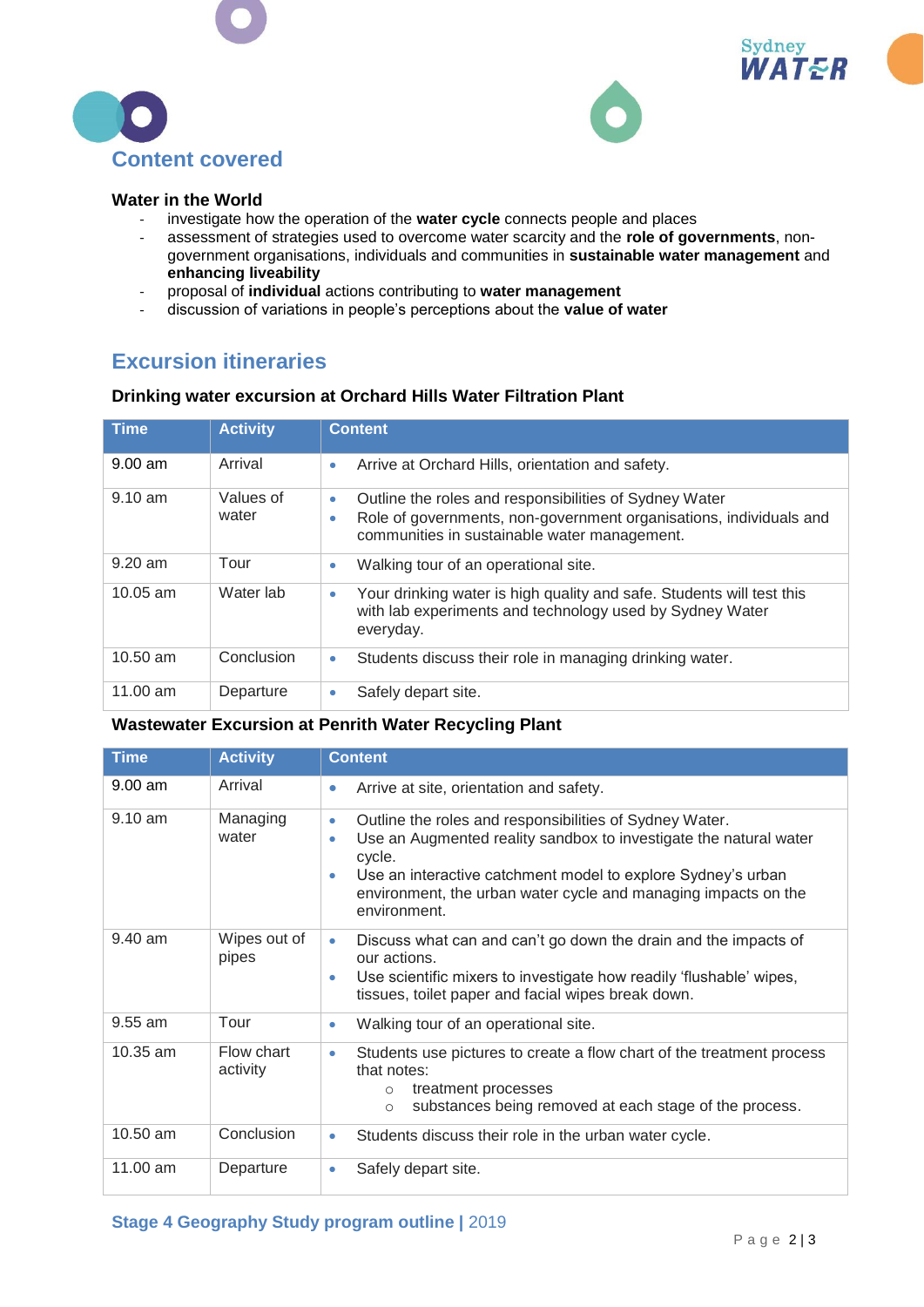





#### **Water in the World**

- investigate how the operation of the **water cycle** connects people and places
- assessment of strategies used to overcome water scarcity and the **role of governments**, nongovernment organisations, individuals and communities in **sustainable water management** and **enhancing liveability**
- proposal of **individual** actions contributing to **water management**
- discussion of variations in people's perceptions about the **value of water**

## **Excursion itineraries**

#### **Drinking water excursion at Orchard Hills Water Filtration Plant**

| <b>Time</b>       | <b>Activity</b>    | <b>Content</b>                                                                                                                                                                                 |
|-------------------|--------------------|------------------------------------------------------------------------------------------------------------------------------------------------------------------------------------------------|
| $9.00$ am         | Arrival            | Arrive at Orchard Hills, orientation and safety.<br>۰                                                                                                                                          |
| $9.10 \text{ am}$ | Values of<br>water | Outline the roles and responsibilities of Sydney Water<br>$\bullet$<br>Role of governments, non-government organisations, individuals and<br>۰<br>communities in sustainable water management. |
| $9.20$ am         | Tour               | Walking tour of an operational site.<br>۰                                                                                                                                                      |
| $10.05$ am        | Water lab          | Your drinking water is high quality and safe. Students will test this<br>۰<br>with lab experiments and technology used by Sydney Water<br>everyday.                                            |
| $10.50$ am        | Conclusion         | Students discuss their role in managing drinking water.<br>$\bullet$                                                                                                                           |
| $11.00$ am        | Departure          | Safely depart site.<br>۰                                                                                                                                                                       |

### **Wastewater Excursion at Penrith Water Recycling Plant**

| <b>Time</b> | <b>Activity</b>        | <b>Content</b>                                                                                                                                                                                                                                                                                                                  |  |
|-------------|------------------------|---------------------------------------------------------------------------------------------------------------------------------------------------------------------------------------------------------------------------------------------------------------------------------------------------------------------------------|--|
| $9.00$ am   | Arrival                | Arrive at site, orientation and safety.<br>$\bullet$                                                                                                                                                                                                                                                                            |  |
| $9.10$ am   | Managing<br>water      | Outline the roles and responsibilities of Sydney Water.<br>$\bullet$<br>Use an Augmented reality sandbox to investigate the natural water<br>$\bullet$<br>cycle.<br>Use an interactive catchment model to explore Sydney's urban<br>$\bullet$<br>environment, the urban water cycle and managing impacts on the<br>environment. |  |
| 9.40 am     | Wipes out of<br>pipes  | Discuss what can and can't go down the drain and the impacts of<br>$\bullet$<br>our actions.<br>Use scientific mixers to investigate how readily 'flushable' wipes,<br>$\bullet$<br>tissues, toilet paper and facial wipes break down.                                                                                          |  |
| 9.55 am     | Tour                   | Walking tour of an operational site.<br>$\bullet$                                                                                                                                                                                                                                                                               |  |
| $10.35$ am  | Flow chart<br>activity | Students use pictures to create a flow chart of the treatment process<br>$\bullet$<br>that notes:<br>treatment processes<br>$\circ$<br>substances being removed at each stage of the process.<br>$\circ$                                                                                                                        |  |
| 10.50 am    | Conclusion             | Students discuss their role in the urban water cycle.<br>۰                                                                                                                                                                                                                                                                      |  |
| 11.00 am    | Departure              | Safely depart site.<br>$\bullet$                                                                                                                                                                                                                                                                                                |  |